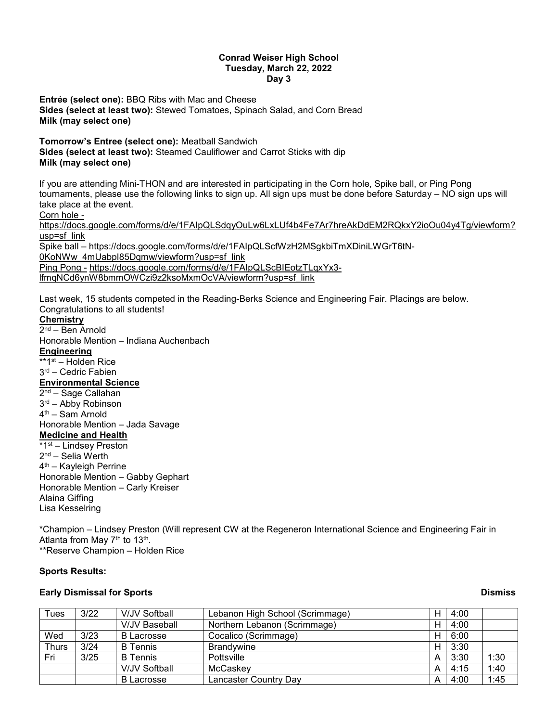### **Conrad Weiser High School Tuesday, March 22, 2022 Day 3**

**Entrée (select one):** BBQ Ribs with Mac and Cheese **Sides (select at least two):** Stewed Tomatoes, Spinach Salad, and Corn Bread **Milk (may select one)**

**Tomorrow's Entree (select one):** Meatball Sandwich

**Sides (select at least two):** Steamed Cauliflower and Carrot Sticks with dip **Milk (may select one)**

If you are attending Mini-THON and are interested in participating in the Corn hole, Spike ball, or Ping Pong tournaments, please use the following links to sign up. All sign ups must be done before Saturday – NO sign ups will take place at the event.

Corn hole -

[https://docs.google.com/forms/d/e/1FAIpQLSdqyOuLw6LxLUf4b4Fe7Ar7hreAkDdEM2RQkxY2ioOu04y4Tg/viewform?](https://docs.google.com/forms/d/e/1FAIpQLSdqyOuLw6LxLUf4b4Fe7Ar7hreAkDdEM2RQkxY2ioOu04y4Tg/viewform?usp=sf_link) [usp=sf\\_link](https://docs.google.com/forms/d/e/1FAIpQLSdqyOuLw6LxLUf4b4Fe7Ar7hreAkDdEM2RQkxY2ioOu04y4Tg/viewform?usp=sf_link)

Spike ball – [https://docs.google.com/forms/d/e/1FAIpQLScfWzH2MSgkbiTmXDiniLWGrT6tN-](https://docs.google.com/forms/d/e/1FAIpQLScfWzH2MSgkbiTmXDiniLWGrT6tN-0KoNWw_4mUabpI85Dqmw/viewform?usp=sf_link)[0KoNWw\\_4mUabpI85Dqmw/viewform?usp=sf\\_link](https://docs.google.com/forms/d/e/1FAIpQLScfWzH2MSgkbiTmXDiniLWGrT6tN-0KoNWw_4mUabpI85Dqmw/viewform?usp=sf_link) Ping Pong - [https://docs.google.com/forms/d/e/1FAIpQLScBIEotzTLqxYx3](https://docs.google.com/forms/d/e/1FAIpQLScBIEotzTLqxYx3-lfmqNCd6ynW8bmmOWCzi9z2ksoMxmOcVA/viewform?usp=sf_link) [lfmqNCd6ynW8bmmOWCzi9z2ksoMxmOcVA/viewform?usp=sf\\_link](https://docs.google.com/forms/d/e/1FAIpQLScBIEotzTLqxYx3-lfmqNCd6ynW8bmmOWCzi9z2ksoMxmOcVA/viewform?usp=sf_link)

Last week, 15 students competed in the Reading-Berks Science and Engineering Fair. Placings are below. Congratulations to all students!

# **Chemistry**

2nd – Ben Arnold Honorable Mention – Indiana Auchenbach **Engineering**  $\overline{**1^{st}}$  – Holden Rice 3rd – Cedric Fabien **Environmental Science** 2nd – Sage Callahan 3rd – Abby Robinson 4th – Sam Arnold Honorable Mention – Jada Savage **Medicine and Health** \*1st – Lindsey Preston 2<sup>nd</sup> – Selia Werth 4th – Kayleigh Perrine Honorable Mention – Gabby Gephart Honorable Mention – Carly Kreiser Alaina Giffing Lisa Kesselring

\*Champion – Lindsey Preston (Will represent CW at the Regeneron International Science and Engineering Fair in Atlanta from May 7<sup>th</sup> to 13<sup>th</sup>. \*\*Reserve Champion – Holden Rice

## **Sports Results:**

## **Early Dismissal for Sports Dismiss**

| Tues         | 3/22 | V/JV Softball        | Lebanon High School (Scrimmage) | н | 4:00 |      |
|--------------|------|----------------------|---------------------------------|---|------|------|
|              |      | <b>V/JV Baseball</b> | Northern Lebanon (Scrimmage)    | H | 4:00 |      |
| Wed          | 3/23 | <b>B</b> Lacrosse    | Cocalico (Scrimmage)            | Н | 6:00 |      |
| <b>Thurs</b> | 3/24 | <b>B</b> Tennis      | <b>Brandvwine</b>               | H | 3:30 |      |
| Fri          | 3/25 | <b>B</b> Tennis      | Pottsville                      | А | 3:30 | 1:30 |
|              |      | V/JV Softball        | McCaskey                        | А | 4:15 | 1:40 |
|              |      | B Lacrosse           | Lancaster Country Day           | А | 4:00 | 1:45 |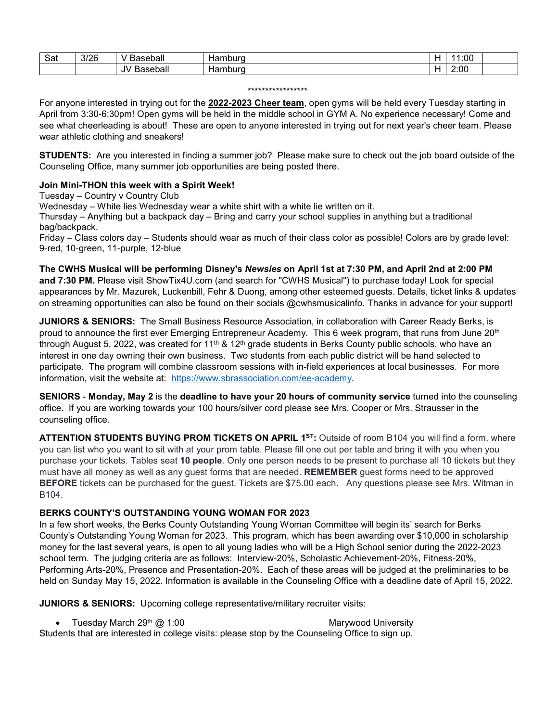| -<br>Sat | 3/26 | าseball<br>- סבי<br>``<br>ъ.       | nburo<br>ıaı  |            | :00  |  |
|----------|------|------------------------------------|---------------|------------|------|--|
|          |      | .<br><br>-<br>seball<br>JV.<br>ാറു | amburd<br>Hai | . .<br>. . | 2:00 |  |

### \*\*\*\*\*\*\*\*\*\*\*\*\*\*\*\*\*

For anyone interested in trying out for the **2022-2023 Cheer team**, open gyms will be held every Tuesday starting in April from 3:30-6:30pm! Open gyms will be held in the middle school in GYM A. No experience necessary! Come and see what cheerleading is about! These are open to anyone interested in trying out for next year's cheer team. Please wear athletic clothing and sneakers!

**STUDENTS:** Are you interested in finding a summer job? Please make sure to check out the job board outside of the Counseling Office, many summer job opportunities are being posted there.

# **Join Mini-THON this week with a Spirit Week!**

Tuesday – Country v Country Club

Wednesday – White lies Wednesday wear a white shirt with a white lie written on it.

Thursday – Anything but a backpack day – Bring and carry your school supplies in anything but a traditional bag/backpack.

Friday – Class colors day – Students should wear as much of their class color as possible! Colors are by grade level: 9-red, 10-green, 11-purple, 12-blue

**The CWHS Musical will be performing Disney's** *Newsies* **on April 1st at 7:30 PM, and April 2nd at 2:00 PM and 7:30 PM.** Please visit ShowTix4U.com (and search for "CWHS Musical") to purchase today! Look for special appearances by Mr. Mazurek, Luckenbill, Fehr & Duong, among other esteemed guests. Details, ticket links & updates on streaming opportunities can also be found on their socials @cwhsmusicalinfo. Thanks in advance for your support!

**JUNIORS & SENIORS:** The Small Business Resource Association, in collaboration with Career Ready Berks, is proud to announce the first ever Emerging Entrepreneur Academy. This 6 week program, that runs from June 20<sup>th</sup> through August 5, 2022, was created for 11<sup>th</sup> & 12<sup>th</sup> grade students in Berks County public schools, who have an interest in one day owning their own business. Two students from each public district will be hand selected to participate. The program will combine classroom sessions with in-field experiences at local businesses. For more information, visit the website at: [https://www.sbrassociation.com/ee-academy.](https://www.sbrassociation.com/ee-academy)

**SENIORS** - **Monday, May 2** is the **deadline to have your 20 hours of community service** turned into the counseling office. If you are working towards your 100 hours/silver cord please see Mrs. Cooper or Mrs. Strausser in the counseling office.

**ATTENTION STUDENTS BUYING PROM TICKETS ON APRIL 1<sup>st</sup>: Outside of room B104 you will find a form, where** you can list who you want to sit with at your prom table. Please fill one out per table and bring it with you when you purchase your tickets. Tables seat **10 people**. Only one person needs to be present to purchase all 10 tickets but they must have all money as well as any guest forms that are needed. **REMEMBER** guest forms need to be approved **BEFORE** tickets can be purchased for the guest. Tickets are \$75.00 each. Any questions please see Mrs. Witman in B104.

# **BERKS COUNTY'S OUTSTANDING YOUNG WOMAN FOR 2023**

In a few short weeks, the Berks County Outstanding Young Woman Committee will begin its' search for Berks County's Outstanding Young Woman for 2023. This program, which has been awarding over \$10,000 in scholarship money for the last several years, is open to all young ladies who will be a High School senior during the 2022-2023 school term. The judging criteria are as follows: Interview-20%, Scholastic Achievement-20%, Fitness-20%, Performing Arts-20%, Presence and Presentation-20%. Each of these areas will be judged at the preliminaries to be held on Sunday May 15, 2022. Information is available in the Counseling Office with a deadline date of April 15, 2022.

**JUNIORS & SENIORS:** Upcoming college representative/military recruiter visits:

• Tuesday March 29<sup>th</sup> @ 1:00 March 20th Marywood University Students that are interested in college visits: please stop by the Counseling Office to sign up.